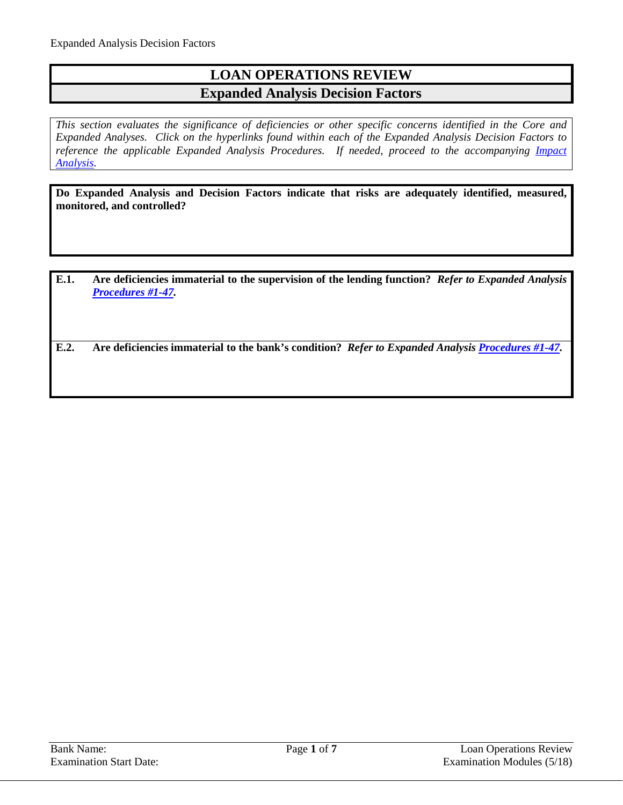## **LOAN OPERATIONS REVIEW Expanded Analysis Decision Factors**

*This section evaluates the significance of deficiencies or other specific concerns identified in the Core and Expanded Analyses. Click on the hyperlinks found within each of the Expanded Analysis Decision Factors to*  reference the applicable Expanded Analysis Procedures. If needed, proceed to the accompanying *Impact [Analysis.](#page-6-0)*

**Do Expanded Analysis and Decision Factors indicate that risks are adequately identified, measured, monitored, and controlled?**

**E.1. Are deficiencies immaterial to the supervision of the lending function?** *Refer to Expanded Analysis [Procedures #1-47.](#page-1-0)*

**E.2. Are deficiencies immaterial to the bank's condition?** *Refer to Expanded Analysis [Procedures #1-47.](#page-1-0)*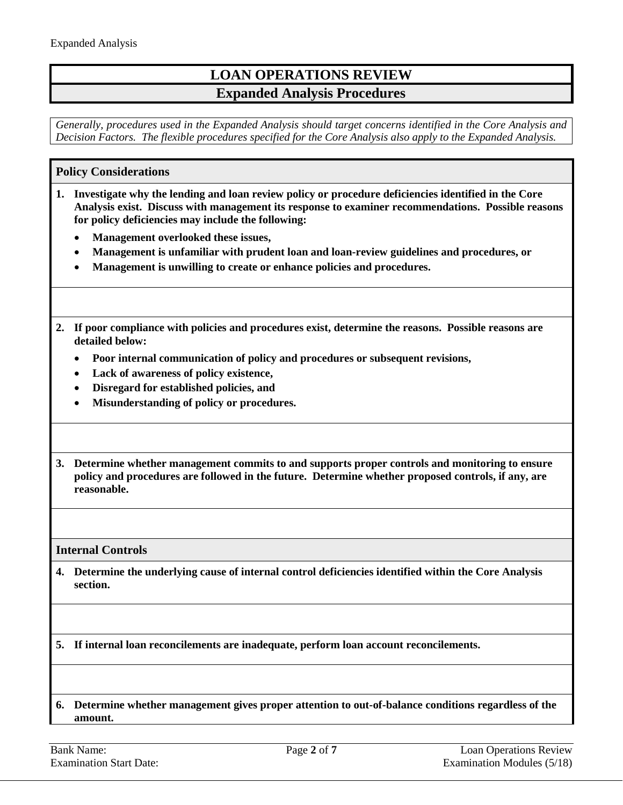# **LOAN OPERATIONS REVIEW Expanded Analysis Procedures**

*Generally, procedures used in the Expanded Analysis should target concerns identified in the Core Analysis and Decision Factors. The flexible procedures specified for the Core Analysis also apply to the Expanded Analysis.*

### <span id="page-1-0"></span>**Policy Considerations**

- **1. Investigate why the lending and loan review policy or procedure deficiencies identified in the Core Analysis exist. Discuss with management its response to examiner recommendations. Possible reasons for policy deficiencies may include the following:**
	- **Management overlooked these issues,**
	- **Management is unfamiliar with prudent loan and loan-review guidelines and procedures, or**
	- **Management is unwilling to create or enhance policies and procedures.**
- **2. If poor compliance with policies and procedures exist, determine the reasons. Possible reasons are detailed below:**
	- **Poor internal communication of policy and procedures or subsequent revisions,**
	- **Lack of awareness of policy existence,**
	- **Disregard for established policies, and**
	- **Misunderstanding of policy or procedures.**
- **3. Determine whether management commits to and supports proper controls and monitoring to ensure policy and procedures are followed in the future. Determine whether proposed controls, if any, are reasonable.**

**Internal Controls**

**4. Determine the underlying cause of internal control deficiencies identified within the Core Analysis section.**

**5. If internal loan reconcilements are inadequate, perform loan account reconcilements.**

**6. Determine whether management gives proper attention to out-of-balance conditions regardless of the amount.**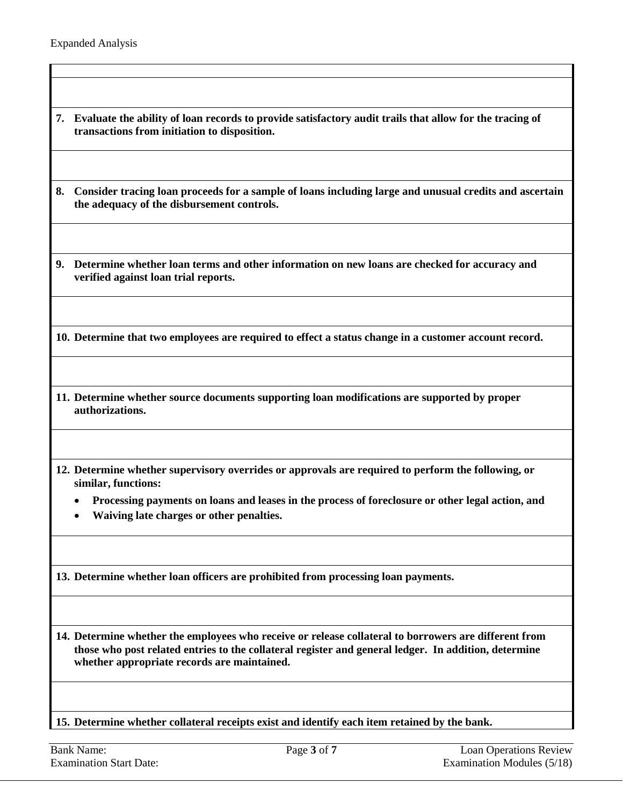- **7. Evaluate the ability of loan records to provide satisfactory audit trails that allow for the tracing of transactions from initiation to disposition.**
- **8. Consider tracing loan proceeds for a sample of loans including large and unusual credits and ascertain the adequacy of the disbursement controls.**
- **9. Determine whether loan terms and other information on new loans are checked for accuracy and verified against loan trial reports.**

**10. Determine that two employees are required to effect a status change in a customer account record.**

- **11. Determine whether source documents supporting loan modifications are supported by proper authorizations.**
- **12. Determine whether supervisory overrides or approvals are required to perform the following, or similar, functions:**
	- **Processing payments on loans and leases in the process of foreclosure or other legal action, and**
	- **Waiving late charges or other penalties.**

**13. Determine whether loan officers are prohibited from processing loan payments.**

**14. Determine whether the employees who receive or release collateral to borrowers are different from those who post related entries to the collateral register and general ledger. In addition, determine whether appropriate records are maintained.**

**15. Determine whether collateral receipts exist and identify each item retained by the bank.**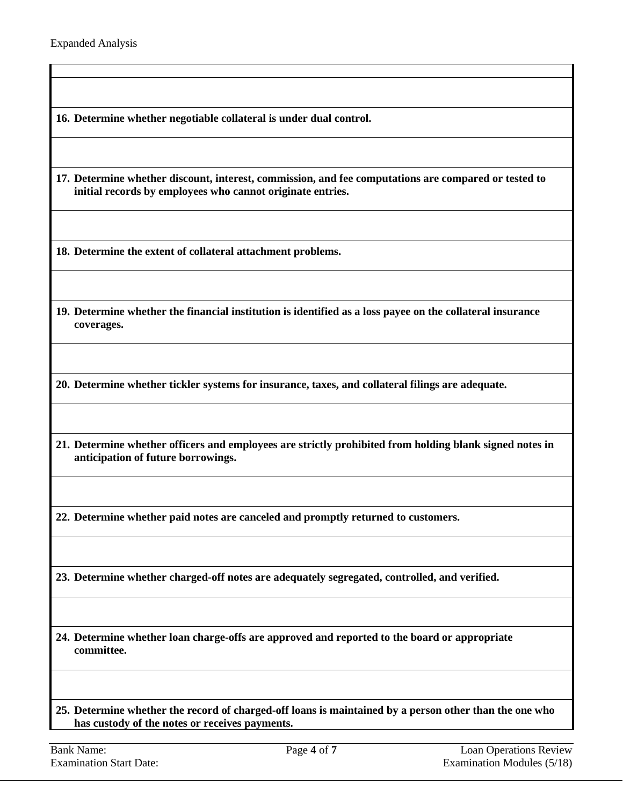**16. Determine whether negotiable collateral is under dual control.**

**17. Determine whether discount, interest, commission, and fee computations are compared or tested to initial records by employees who cannot originate entries.**

**18. Determine the extent of collateral attachment problems.**

**19. Determine whether the financial institution is identified as a loss payee on the collateral insurance coverages.**

**20. Determine whether tickler systems for insurance, taxes, and collateral filings are adequate.**

**21. Determine whether officers and employees are strictly prohibited from holding blank signed notes in anticipation of future borrowings.**

**22. Determine whether paid notes are canceled and promptly returned to customers.**

**23. Determine whether charged-off notes are adequately segregated, controlled, and verified.**

**24. Determine whether loan charge-offs are approved and reported to the board or appropriate committee.**

**25. Determine whether the record of charged-off loans is maintained by a person other than the one who has custody of the notes or receives payments.**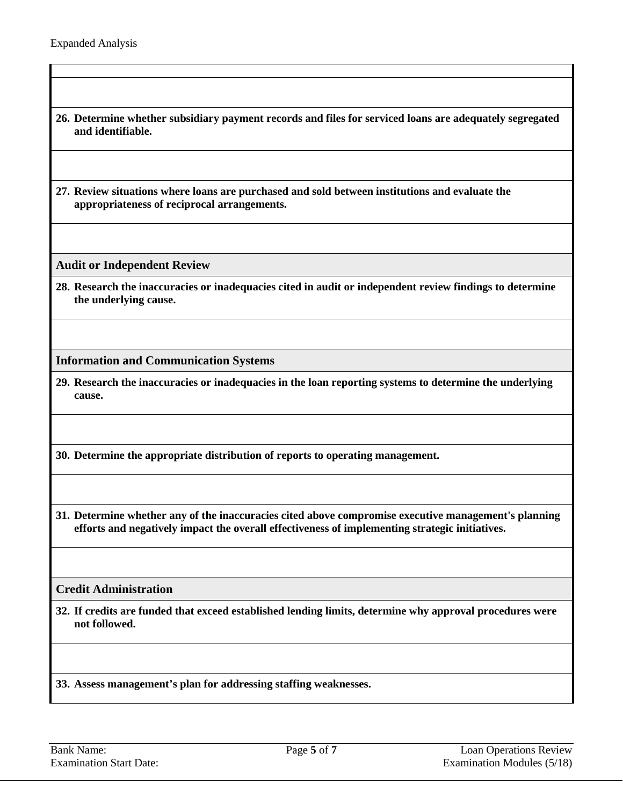- **26. Determine whether subsidiary payment records and files for serviced loans are adequately segregated and identifiable.**
- **27. Review situations where loans are purchased and sold between institutions and evaluate the appropriateness of reciprocal arrangements.**

**Audit or Independent Review**

**28. Research the inaccuracies or inadequacies cited in audit or independent review findings to determine the underlying cause.**

**Information and Communication Systems**

**29. Research the inaccuracies or inadequacies in the loan reporting systems to determine the underlying cause.**

**30. Determine the appropriate distribution of reports to operating management.**

**31. Determine whether any of the inaccuracies cited above compromise executive management's planning efforts and negatively impact the overall effectiveness of implementing strategic initiatives.**

#### **Credit Administration**

**32. If credits are funded that exceed established lending limits, determine why approval procedures were not followed.**

**33. Assess management's plan for addressing staffing weaknesses.**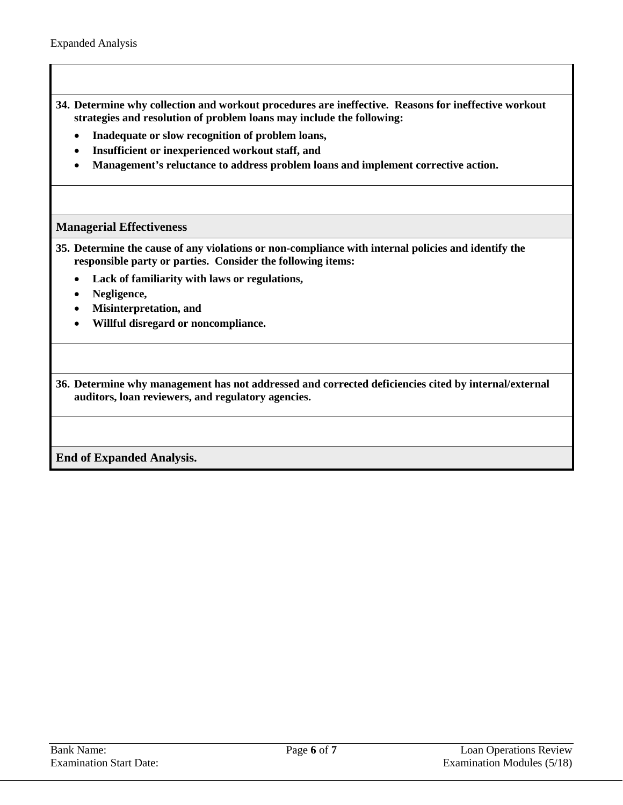- **34. Determine why collection and workout procedures are ineffective. Reasons for ineffective workout strategies and resolution of problem loans may include the following:**
	- **Inadequate or slow recognition of problem loans,**
	- **Insufficient or inexperienced workout staff, and**
	- **Management's reluctance to address problem loans and implement corrective action.**

### **Managerial Effectiveness**

- **35. Determine the cause of any violations or non-compliance with internal policies and identify the responsible party or parties. Consider the following items:**
	- **Lack of familiarity with laws or regulations,**
	- **Negligence,**
	- **Misinterpretation, and**
	- **Willful disregard or noncompliance.**

**36. Determine why management has not addressed and corrected deficiencies cited by internal/external auditors, loan reviewers, and regulatory agencies.**

**End of Expanded Analysis.**